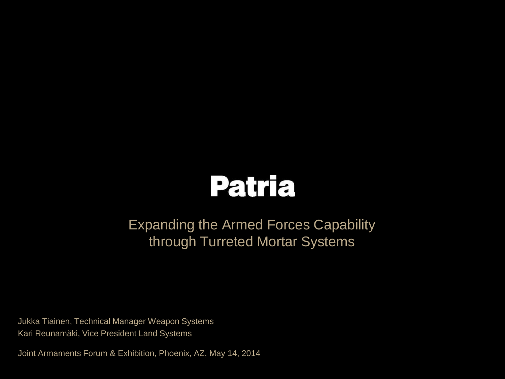

### Expanding the Armed Forces Capability through Turreted Mortar Systems

Jukka Tiainen, Technical Manager Weapon Systems Kari Reunamäki, Vice President Land Systems

Joint Armaments Forum & Exhibition, Phoenix, AZ, May 14, 2014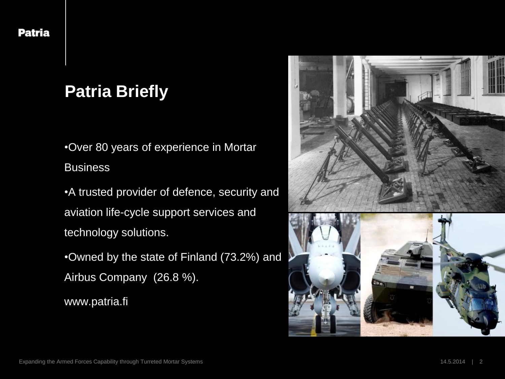# **Patria Briefly**

•Over 80 years of experience in Mortar **Business** 

•A trusted provider of defence, security and aviation life-cycle support services and technology solutions.

•Owned by the state of Finland (73.2%) and Airbus Company (26.8 %).

www.patria.fi

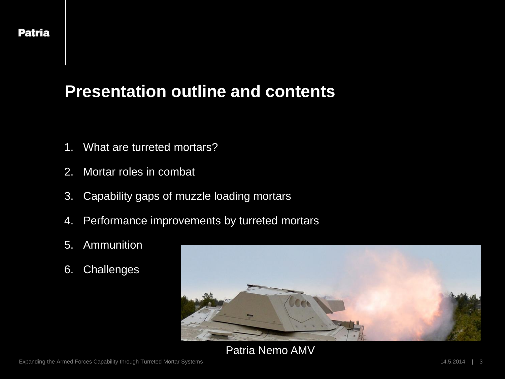### **Presentation outline and contents**

- 1. What are turreted mortars?
- 2. Mortar roles in combat
- 3. Capability gaps of muzzle loading mortars
- 4. Performance improvements by turreted mortars
- 5. Ammunition
- 6. Challenges



#### Patria Nemo AMV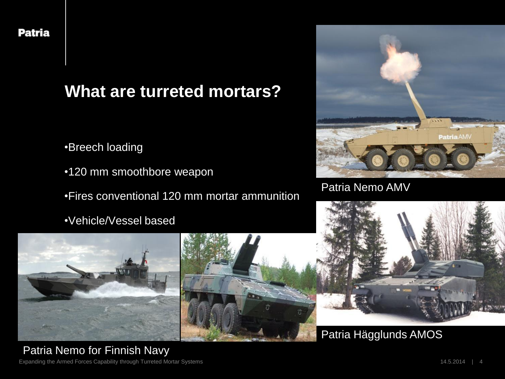## **What are turreted mortars?**

- •Breech loading
- •120 mm smoothbore weapon
- •Fires conventional 120 mm mortar ammunition
- •Vehicle/Vessel based



#### Patria Nemo AMV







#### Patria Hägglunds AMOS

Expanding the Armed Forces Capability through Turreted Mortar Systems 14.5.2014 Patria Nemo for Finnish Navy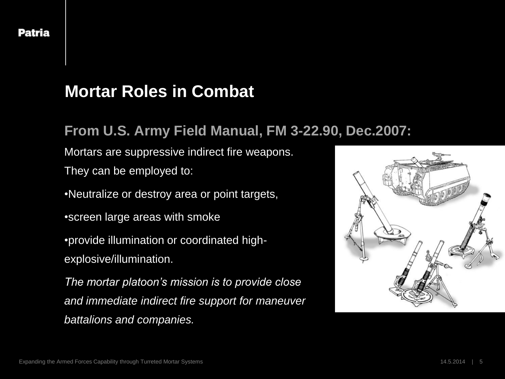## **Mortar Roles in Combat**

#### **From U.S. Army Field Manual, FM 3-22.90, Dec.2007:**

Mortars are suppressive indirect fire weapons.

They can be employed to:

•Neutralize or destroy area or point targets,

•screen large areas with smoke

•provide illumination or coordinated highexplosive/illumination.

*The mortar platoon's mission is to provide close and immediate indirect fire support for maneuver battalions and companies.* 

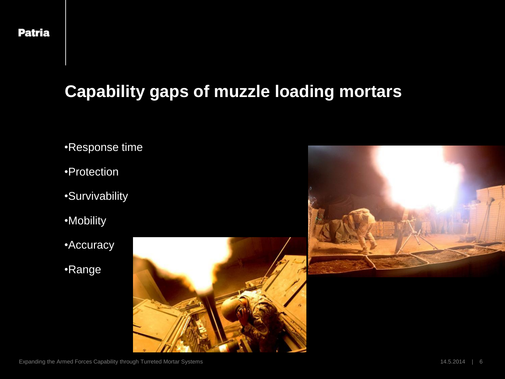# **Capability gaps of muzzle loading mortars**

- •Response time
- •Protection
- •Survivability
- •Mobility
- •Accuracy
- •Range



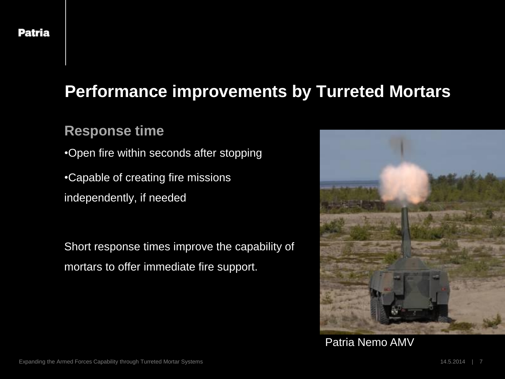#### **Response time**

- •Open fire within seconds after stopping
- •Capable of creating fire missions
- independently, if needed

Short response times improve the capability of mortars to offer immediate fire support.



Patria Nemo AMV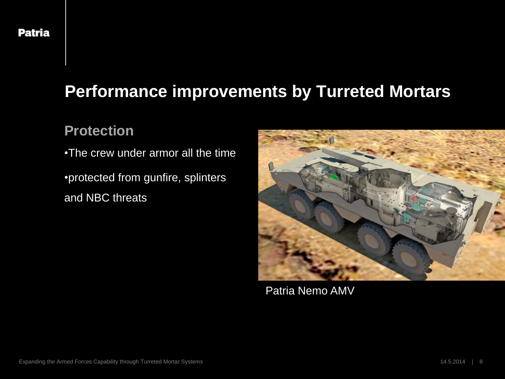#### **Protection**

•The crew under armor all the time

•protected from gunfire, splinters and NBC threats



Patria Nemo AMV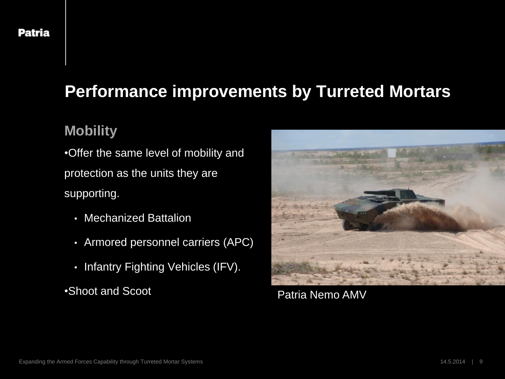#### **Mobility**

•Offer the same level of mobility and protection as the units they are supporting.

- Mechanized Battalion
- Armored personnel carriers (APC)
- Infantry Fighting Vehicles (IFV).

•Shoot and Scoot



Patria Nemo AMV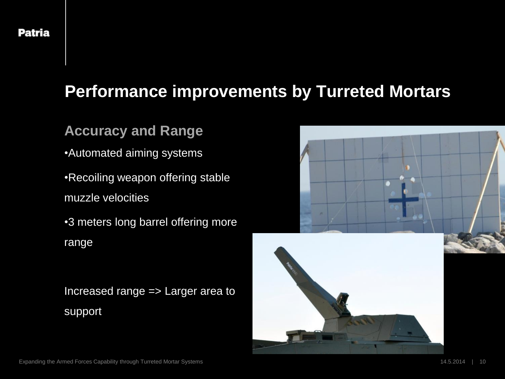#### **Accuracy and Range**

- •Automated aiming systems
- •Recoiling weapon offering stable muzzle velocities
- •3 meters long barrel offering more range

Increased range => Larger area to support

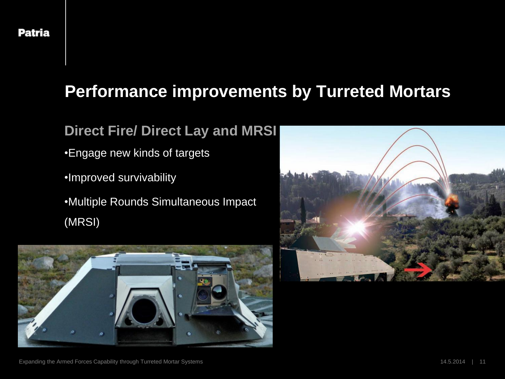### **Direct Fire/ Direct Lay and MRSI**

- •Engage new kinds of targets
- •Improved survivability
- •Multiple Rounds Simultaneous Impact (MRSI)



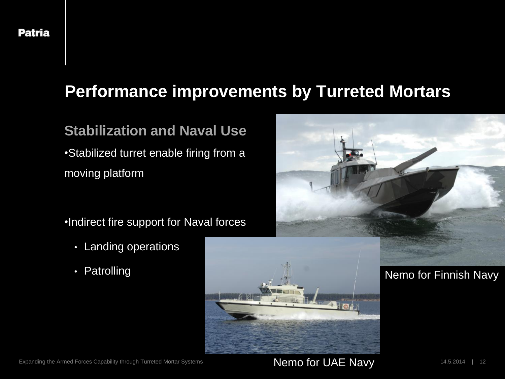#### **Stabilization and Naval Use**

•Stabilized turret enable firing from a moving platform

•Indirect fire support for Naval forces

- Landing operations
- Patrolling



Nemo for UAE Navy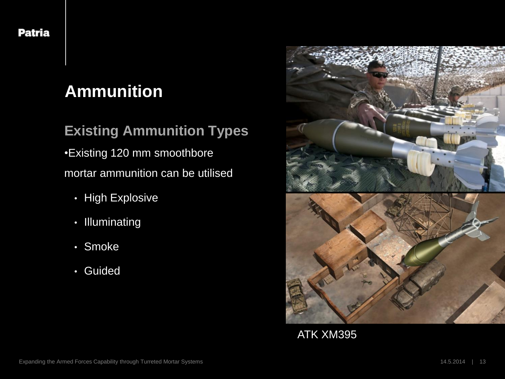# **Ammunition**

### **Existing Ammunition Types**

•Existing 120 mm smoothbore mortar ammunition can be utilised

- High Explosive
- Illuminating
- Smoke
- Guided



ATK XM395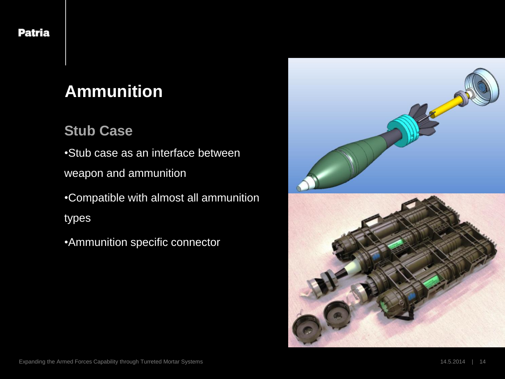# **Ammunition**

### **Stub Case**

•Stub case as an interface between

weapon and ammunition

•Compatible with almost all ammunition types

•Ammunition specific connector